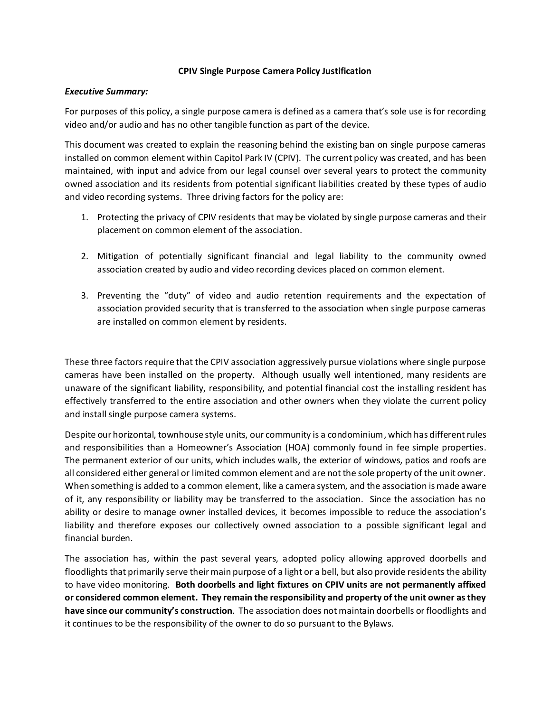## **CPIV Single Purpose Camera Policy Justification**

## *Executive Summary:*

For purposes of this policy, a single purpose camera is defined as a camera that's sole use is for recording video and/or audio and has no other tangible function as part of the device.

This document was created to explain the reasoning behind the existing ban on single purpose cameras installed on common element within Capitol Park IV (CPIV). The current policy was created, and has been maintained, with input and advice from our legal counsel over several years to protect the community owned association and its residents from potential significant liabilities created by these types of audio and video recording systems. Three driving factors for the policy are:

- 1. Protecting the privacy of CPIV residents that may be violated by single purpose cameras and their placement on common element of the association.
- 2. Mitigation of potentially significant financial and legal liability to the community owned association created by audio and video recording devices placed on common element.
- 3. Preventing the "duty" of video and audio retention requirements and the expectation of association provided security that is transferred to the association when single purpose cameras are installed on common element by residents.

These three factors require that the CPIV association aggressively pursue violations where single purpose cameras have been installed on the property. Although usually well intentioned, many residents are unaware of the significant liability, responsibility, and potential financial cost the installing resident has effectively transferred to the entire association and other owners when they violate the current policy and install single purpose camera systems.

Despite our horizontal, townhouse style units, our community is a condominium, which has different rules and responsibilities than a Homeowner's Association (HOA) commonly found in fee simple properties. The permanent exterior of our units, which includes walls, the exterior of windows, patios and roofs are all considered either general or limited common element and are not the sole property of the unit owner. When something is added to a common element, like a camera system, and the association is made aware of it, any responsibility or liability may be transferred to the association. Since the association has no ability or desire to manage owner installed devices, it becomes impossible to reduce the association's liability and therefore exposes our collectively owned association to a possible significant legal and financial burden.

The association has, within the past several years, adopted policy allowing approved doorbells and floodlights that primarily serve their main purpose of a light or a bell, but also provide residents the ability to have video monitoring. **Both doorbells and light fixtures on CPIV units are not permanently affixed or considered common element. They remain the responsibility and property of the unit owner as they have since our community's construction**. The association does not maintain doorbells or floodlights and it continues to be the responsibility of the owner to do so pursuant to the Bylaws.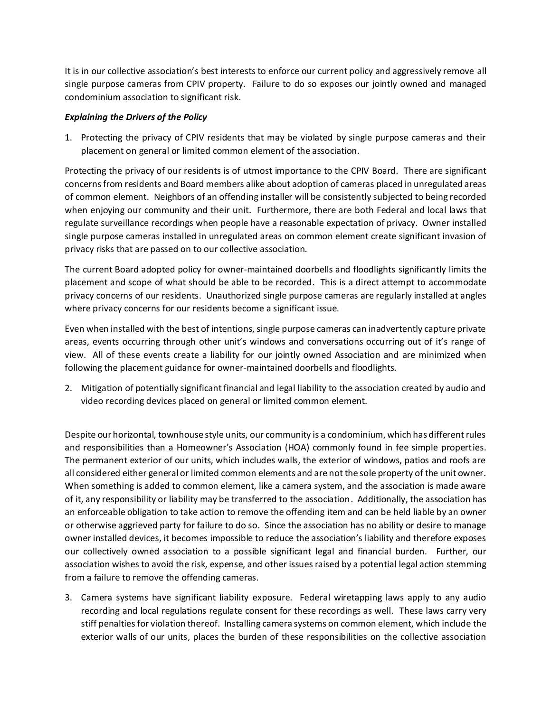It is in our collective association's best interests to enforce our current policy and aggressively remove all single purpose cameras from CPIV property. Failure to do so exposes our jointly owned and managed condominium association to significant risk.

## *Explaining the Drivers of the Policy*

1. Protecting the privacy of CPIV residents that may be violated by single purpose cameras and their placement on general or limited common element of the association.

Protecting the privacy of our residents is of utmost importance to the CPIV Board. There are significant concernsfrom residents and Board members alike about adoption of cameras placed in unregulated areas of common element. Neighbors of an offending installer will be consistently subjected to being recorded when enjoying our community and their unit. Furthermore, there are both Federal and local laws that regulate surveillance recordings when people have a reasonable expectation of privacy. Owner installed single purpose cameras installed in unregulated areas on common element create significant invasion of privacy risks that are passed on to our collective association.

The current Board adopted policy for owner-maintained doorbells and floodlights significantly limits the placement and scope of what should be able to be recorded. This is a direct attempt to accommodate privacy concerns of our residents. Unauthorized single purpose cameras are regularly installed at angles where privacy concerns for our residents become a significant issue.

Even when installed with the best of intentions, single purpose cameras can inadvertently capture private areas, events occurring through other unit's windows and conversations occurring out of it's range of view. All of these events create a liability for our jointly owned Association and are minimized when following the placement guidance for owner-maintained doorbells and floodlights.

2. Mitigation of potentially significant financial and legal liability to the association created by audio and video recording devices placed on general or limited common element.

Despite our horizontal, townhouse style units, our community is a condominium, which has different rules and responsibilities than a Homeowner's Association (HOA) commonly found in fee simple properties. The permanent exterior of our units, which includes walls, the exterior of windows, patios and roofs are all considered either general or limited common elements and are not the sole property of the unit owner. When something is added to common element, like a camera system, and the association is made aware of it, any responsibility or liability may be transferred to the association. Additionally, the association has an enforceable obligation to take action to remove the offending item and can be held liable by an owner or otherwise aggrieved party for failure to do so. Since the association has no ability or desire to manage owner installed devices, it becomes impossible to reduce the association's liability and therefore exposes our collectively owned association to a possible significant legal and financial burden. Further, our association wishes to avoid the risk, expense, and other issues raised by a potential legal action stemming from a failure to remove the offending cameras.

3. Camera systems have significant liability exposure. Federal wiretapping laws apply to any audio recording and local regulations regulate consent for these recordings as well. These laws carry very stiff penalties for violation thereof. Installing camera systems on common element, which include the exterior walls of our units, places the burden of these responsibilities on the collective association